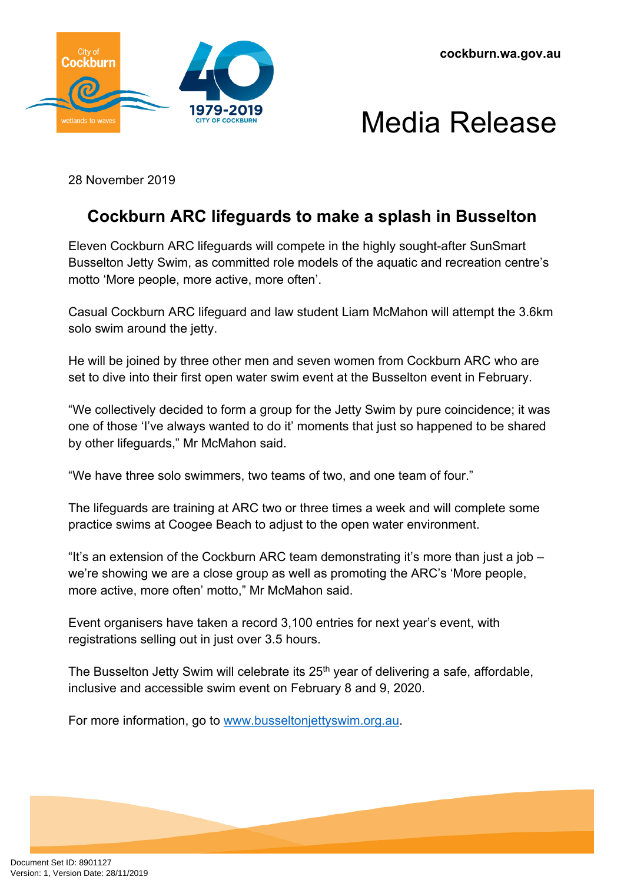



28 November 2019

## **Cockburn ARC lifeguards to make a splash in Busselton**

Eleven Cockburn ARC lifeguards will compete in the highly sought-after SunSmart Busselton Jetty Swim, as committed role models of the aquatic and recreation centre's motto 'More people, more active, more often'.

Casual Cockburn ARC lifeguard and law student Liam McMahon will attempt the 3.6km solo swim around the jetty.

He will be joined by three other men and seven women from Cockburn ARC who are set to dive into their first open water swim event at the Busselton event in February.

"We collectively decided to form a group for the Jetty Swim by pure coincidence; it was one of those 'I've always wanted to do it' moments that just so happened to be shared by other lifeguards," Mr McMahon said.

"We have three solo swimmers, two teams of two, and one team of four."

The lifeguards are training at ARC two or three times a week and will complete some practice swims at Coogee Beach to adjust to the open water environment.

"It's an extension of the Cockburn ARC team demonstrating it's more than just a job – we're showing we are a close group as well as promoting the ARC's 'More people, more active, more often' motto," Mr McMahon said.

Event organisers have taken a record 3,100 entries for next year's event, with registrations selling out in just over 3.5 hours.

The Busselton Jetty Swim will celebrate its 25<sup>th</sup> year of delivering a safe, affordable, inclusive and accessible swim event on February 8 and 9, 2020.

For more information, go to [www.busseltonjettyswim.org.au.](http://www.busseltonjettyswim.org.au/)